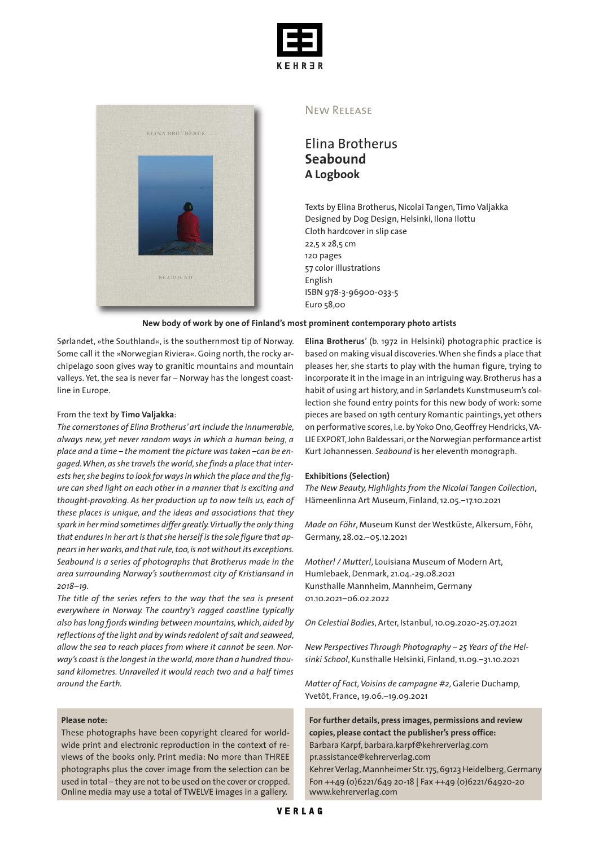



## New Release

Elina Brotherus **Seabound A Logbook**

Texts by Elina Brotherus, Nicolai Tangen, Timo Valjakka Designed by Dog Design, Helsinki, Ilona Ilottu Cloth hardcover in slip case 22,5 x 28,5 cm 120 pages 57 color illustrations English ISBN 978-3-96900-033-5 Euro 58,00

### **New body of work by one of Finland's most prominent contemporary photo artists**

Sørlandet, »the Southland«, is the southernmost tip of Norway. Some call it the »Norwegian Riviera«. Going north, the rocky archipelago soon gives way to granitic mountains and mountain valleys. Yet, the sea is never far - Norway has the longest coastline in Europe.

#### From the text by **Timo Valjakka**:

*The cornerstones of Elina Brotherus'art include the innumerable, always new, yet never random ways in which a human being, a place and a time – the moment the picture was taken –can be engaged.When,asshe travelsthe world,she finds a place that interests her,she beginsto look for waysin which the place and the figure can shed light on each other in a manner that is exciting and thought-provoking. As her production up to now tells us, each of these places is unique, and the ideas and associations that they spark in her mind sometimes differ greatly.Virtually the only thing that enduresin her artisthatshe herselfisthe sole figure that appearsin her works,and thatrule,too,is not withoutits exceptions. Seabound is a series of photographs that Brotherus made in the area surrounding Norway's southernmost city of Kristiansand in 2018–19.*

*The title of the series refers to the way that the sea is present everywhere in Norway. The country's ragged coastline typically also haslong fjords winding between mountains,which,aided by reflections ofthe light and by windsredolent ofsalt and seaweed, allow the sea to reach places from where it cannot be seen. Norway's coastisthe longestin the world,more than a hundred thousand kilometres. Unravelled it would reach two and a half times around the Earth.*

### **Please note:**

These photographs have been copyright cleared for worldwide print and electronic reproduction in the context of reviews of the books only. Print media: No more than THREE photographs plus the cover image from the selection can be used in total – they are not to be used on the cover or cropped. Online media may use a total of TWELVE images in a gallery.

**Elina Brotherus**' (b. 1972 in Helsinki) photographic practice is based on making visual discoveries.When she finds a place that pleases her, she starts to play with the human figure, trying to incorporate it in the image in an intriguing way. Brotherus has a habit of using art history, and in Sørlandets Kunstmuseum's collection she found entry points for this new body of work: some pieces are based on 19th century Romantic paintings, yet others on performative scores, i.e. by Yoko Ono, Geoffrey Hendricks, VA-LIE EXPORT,John Baldessari,orthe Norwegian performance artist Kurt Johannessen. *Seabound* is her eleventh monograph.

#### **Exhibitions (Selection)**

*The New Beauty,Highlights from the Nicolai Tangen Collection*, Hämeenlinna Art Museum, Finland,12.05.–17.10.2021

*Made on Föhr*, Museum Kunst der Westküste, Alkersum, Föhr, Germany, 28.02.–05.12.2021

*Mother! / Mutter!*, Louisiana Museum of Modern Art, Humlebaek,Denmark, 21.04.-29.08.2021 Kunsthalle Mannheim, Mannheim,Germany 01.10.2021–06.02.2022

*On Celestial Bodies*, Arter, Istanbul,10.09.2020-25.07.2021

*New Perspectives Through Photography – 25 Years of the Helsinki School*, Kunsthalle Helsinki, Finland,11.09.–31.10.2021

*Matter of Fact,Voisins de campagne #2*,Galerie Duchamp, Yvetôt, France**,** 19.06.–19.09.2021

**For further details, press images, permissions and review copies, please contact the publisher's press office:** Barbara Karpf, barbara.karpf@kehrerverlag.com pr.assistance@kehrerverlag.com KehrerVerlag,Mannheimer Str.175,69123Heidelberg,Germany Fon ++49 (0)6221/649 20-18 | Fax ++49 (0)6221/64920-20 www.kehrerverlag.com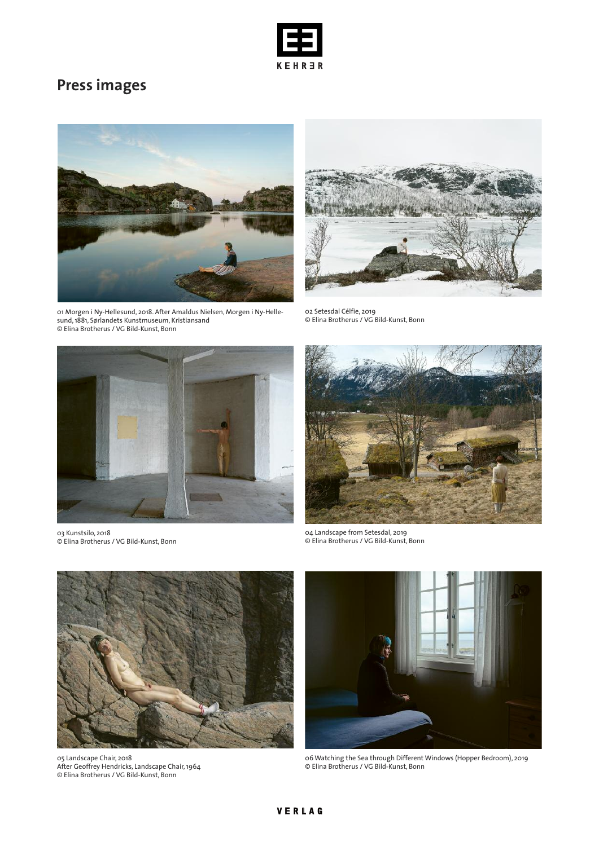

# **Press images**



01 Morgen i Ny-Hellesund, 2018. After Amaldus Nielsen, Morgen i Ny-Hellesund,1881, Sørlandets Kunstmuseum, Kristiansand © Elina Brotherus / VG Bild-Kunst, Bonn



02 Setesdal Célfie, 2019 © Elina Brotherus / VG Bild-Kunst, Bonn



03 Kunstsilo, 2018 © Elina Brotherus / VG Bild-Kunst, Bonn



04 Landscape from Setesdal, 2019 © Elina Brotherus / VG Bild-Kunst, Bonn



05 Landscape Chair, 2018 After Geoffrey Hendricks, Landscape Chair,1964 © Elina Brotherus / VG Bild-Kunst, Bonn



06 Watching the Sea through Different Windows (Hopper Bedroom), 2019 © Elina Brotherus / VG Bild-Kunst, Bonn